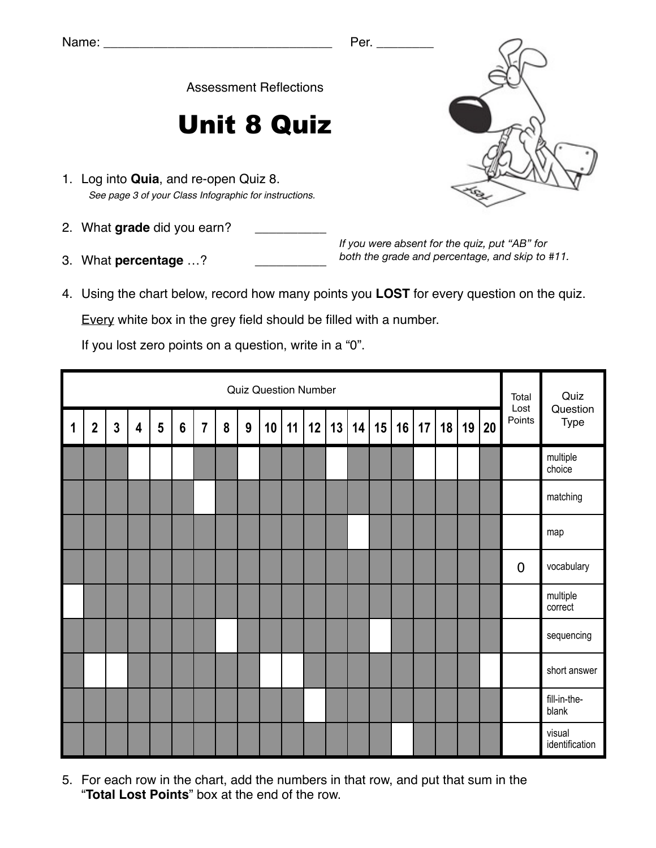Assessment Reflections

## Unit 8 Quiz

- 1. Log into **Quia**, and re-open Quiz 8. *See page 3 of your Class Infographic for instructions.*
- 2. What grade did you earn?
- 3. What **percentage** ...?

*If you were absent for the quiz, put "AB" for both the grade and percentage, and skip to #11.*

4. Using the chart below, record how many points you **LOST** for every question on the quiz.

Every white box in the grey field should be filled with a number.

If you lost zero points on a question, write in a "0".

|             | <b>Quiz Question Number</b> |              |                         |   |                  |                |   |   |    |    |    |    |    |    |    | Total<br>Lost | Quiz<br>Question |       |             |                          |
|-------------|-----------------------------|--------------|-------------------------|---|------------------|----------------|---|---|----|----|----|----|----|----|----|---------------|------------------|-------|-------------|--------------------------|
| $\mathbf 1$ | $\overline{2}$              | $\mathbf{3}$ | $\overline{\mathbf{4}}$ | 5 | $\boldsymbol{6}$ | $\overline{7}$ | 8 | 9 | 10 | 11 | 12 | 13 | 14 | 15 | 16 | 17            | 18               | 19 20 | Points      | Type                     |
|             |                             |              |                         |   |                  |                |   |   |    |    |    |    |    |    |    |               |                  |       |             | multiple<br>choice       |
|             |                             |              |                         |   |                  |                |   |   |    |    |    |    |    |    |    |               |                  |       |             | matching                 |
|             |                             |              |                         |   |                  |                |   |   |    |    |    |    |    |    |    |               |                  |       |             | map                      |
|             |                             |              |                         |   |                  |                |   |   |    |    |    |    |    |    |    |               |                  |       | $\mathbf 0$ | vocabulary               |
|             |                             |              |                         |   |                  |                |   |   |    |    |    |    |    |    |    |               |                  |       |             | multiple<br>correct      |
|             |                             |              |                         |   |                  |                |   |   |    |    |    |    |    |    |    |               |                  |       |             | sequencing               |
|             |                             |              |                         |   |                  |                |   |   |    |    |    |    |    |    |    |               |                  |       |             | short answer             |
|             |                             |              |                         |   |                  |                |   |   |    |    |    |    |    |    |    |               |                  |       |             | fill-in-the-<br>blank    |
|             |                             |              |                         |   |                  |                |   |   |    |    |    |    |    |    |    |               |                  |       |             | visual<br>identification |

5. For each row in the chart, add the numbers in that row, and put that sum in the "**Total Lost Points**" box at the end of the row.